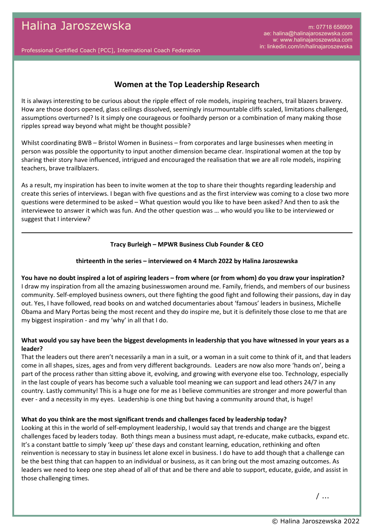m: 07718 658909 ae: halina@halinajaroszewska.com w: www.halinajaroszewska.com in: linkedin.com/in/halinajaroszewska

Professional Certified Coach [PCC], International Coach Federation

# **Women at the Top Leadership Research**

It is always interesting to be curious about the ripple effect of role models, inspiring teachers, trail blazers bravery. How are those doors opened, glass ceilings dissolved, seemingly insurmountable cliffs scaled, limitations challenged, assumptions overturned? Is it simply one courageous or foolhardy person or a combination of many making those ripples spread way beyond what might be thought possible?

Whilst coordinating BWB – Bristol Women in Business – from corporates and large businesses when meeting in person was possible the opportunity to input another dimension became clear. Inspirational women at the top by sharing their story have influenced, intrigued and encouraged the realisation that we are all role models, inspiring teachers, brave trailblazers.

As a result, my inspiration has been to invite women at the top to share their thoughts regarding leadership and create this series of interviews. I began with five questions and as the first interview was coming to a close two more questions were determined to be asked – What question would you like to have been asked? And then to ask the interviewee to answer it which was fun. And the other question was … who would you like to be interviewed or suggest that I interview?

#### **Tracy Burleigh – MPWR Business Club Founder & CEO**

#### **thirteenth in the series – interviewed on 4 March 2022 by Halina Jaroszewska**

#### **You have no doubt inspired a lot of aspiring leaders – from where (or from whom) do you draw your inspiration?**

I draw my inspiration from all the amazing businesswomen around me. Family, friends, and members of our business community. Self-employed business owners, out there fighting the good fight and following their passions, day in day out. Yes, I have followed, read books on and watched documentaries about 'famous' leaders in business, Michelle Obama and Mary Portas being the most recent and they do inspire me, but it is definitely those close to me that are my biggest inspiration - and my 'why' in all that I do.

#### **What would you say have been the biggest developments in leadership that you have witnessed in your years as a leader?**

That the leaders out there aren't necessarily a man in a suit, or a woman in a suit come to think of it, and that leaders come in all shapes, sizes, ages and from very different backgrounds. Leaders are now also more 'hands on', being a part of the process rather than sitting above it, evolving, and growing with everyone else too. Technology, especially in the last couple of years has become such a valuable tool meaning we can support and lead others 24/7 in any country. Lastly community! This is a huge one for me as I believe communities are stronger and more powerful than ever - and a necessity in my eyes. Leadership is one thing but having a community around that, is huge!

#### **What do you think are the most significant trends and challenges faced by leadership today?**

Looking at this in the world of self-employment leadership, I would say that trends and change are the biggest challenges faced by leaders today. Both things mean a business must adapt, re-educate, make cutbacks, expand etc. It's a constant battle to simply 'keep up' these days and constant learning, education, rethinking and often reinvention is necessary to stay in business let alone excel in business. I do have to add though that a challenge can be the best thing that can happen to an individual or business, as it can bring out the most amazing outcomes. As leaders we need to keep one step ahead of all of that and be there and able to support, educate, guide, and assist in those challenging times.

/ ...